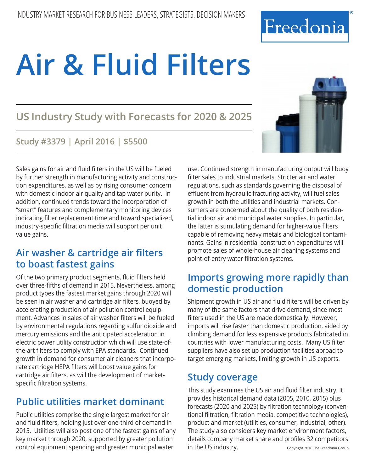# **Air & Fluid Filters**

**US Industry Study with Forecasts for 2020 & 2025**

#### **Study #3379 | April 2016 | \$5500**

Sales gains for air and fluid filters in the US will be fueled by further strength in manufacturing activity and construction expenditures, as well as by rising consumer concern with domestic indoor air quality and tap water purity. In addition, continued trends toward the incorporation of "smart" features and complementary monitoring devices indicating filter replacement time and toward specialized, industry-specific filtration media will support per unit value gains.

## **Air washer & cartridge air filters to boast fastest gains**

Of the two primary product segments, fluid filters held over three-fifths of demand in 2015. Nevertheless, among product types the fastest market gains through 2020 will be seen in air washer and cartridge air filters, buoyed by accelerating production of air pollution control equipment. Advances in sales of air washer filters will be fueled by environmental regulations regarding sulfur dioxide and mercury emissions and the anticipated acceleration in electric power utility construction which will use state-ofthe-art filters to comply with EPA standards. Continued growth in demand for consumer air cleaners that incorporate cartridge HEPA filters will boost value gains for cartridge air filters, as will the development of marketspecific filtration systems.

## **Public utilities market dominant**

Public utilities comprise the single largest market for air and fluid filters, holding just over one-third of demand in 2015. Utilities will also post one of the fastest gains of any key market through 2020, supported by greater pollution control equipment spending and greater municipal water

use. Continued strength in manufacturing output will buoy filter sales to industrial markets. Stricter air and water regulations, such as standards governing the disposal of effluent from hydraulic fracturing activity, will fuel sales growth in both the utilities and industrial markets. Consumers are concerned about the quality of both residential indoor air and municipal water supplies. In particular, the latter is stimulating demand for higher-value filters capable of removing heavy metals and biological contaminants. Gains in residential construction expenditures will promote sales of whole-house air cleaning systems and point-of-entry water filtration systems.

## **Imports growing more rapidly than domestic production**

Shipment growth in US air and fluid filters will be driven by many of the same factors that drive demand, since most filters used in the US are made domestically. However, imports will rise faster than domestic production, aided by climbing demand for less expensive products fabricated in countries with lower manufacturing costs. Many US filter suppliers have also set up production facilities abroad to target emerging markets, limiting growth in US exports.

#### **Study coverage**

This study examines the US air and fluid filter industry. It provides historical demand data (2005, 2010, 2015) plus forecasts (2020 and 2025) by filtration technology (conventional filtration, filtration media, competitive technologies), product and market (utilities, consumer, industrial, other). The study also considers key market environment factors, details company market share and profiles 32 competitors in the US industry. Copyright 2016 The Freedonia Group



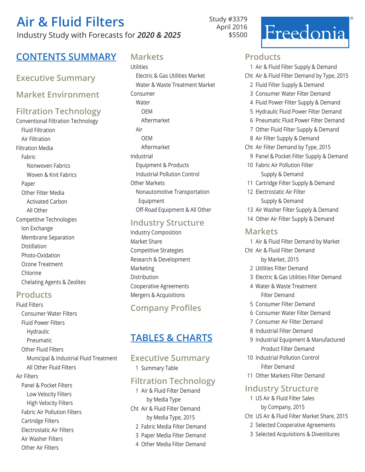## **Air & Fluid Filters** Industry Study with Forecasts for *2020 & 2025*

Study #3379 April 2016 \$5500

## Freedonia

## **Contents Summary Markets**

#### **Executive Summary**

**Market Environment** 

## **Filtration Technology**

Conventional Filtration Technology Fluid Filtration Air Filtration Filtration Media Fabric Nonwoven Fabrics Woven & Knit Fabrics Paper Other Filter Media Activated Carbon All Other Competitive Technologies Ion Exchange Membrane Separation Distillation Photo-Oxidation Ozone Treatment Chlorine Chelating Agents & Zeolites

#### **Products**

Air Washer Filters Other Air Filters

Fluid Filters Consumer Water Filters Fluid Power Filters Hydraulic Pneumatic Other Fluid Filters Municipal & Industrial Fluid Treatment All Other Fluid Filters Air Filters Panel & Pocket Filters Low Velocity Filters High Velocity Filters Fabric Air Pollution Filters Cartridge Filters Electrostatic Air Filters

Utilities Electric & Gas Utilities Market Water & Waste Treatment Market Consumer Water OEM Aftermarket Air OEM Aftermarket Industrial Equipment & Products Industrial Pollution Control Other Markets Nonautomotive Transportation Equipment Off-Road Equipment & All Other

#### **Industry Structure**

Industry Composition Market Share Competitive Strategies Research & Development Marketing Distribution Cooperative Agreements Mergers & Acquisitions

### **Company Profiles**

## **Tables & Charts**

#### **Executive Summary** 1 Summary Table

#### **Filtration Technology**

1 Air & Fluid Filter Demand by Media Type Cht Air & Fluid Filter Demand by Media Type, 2015 2 Fabric Media Filter Demand 3 Paper Media Filter Demand 4 Other Media Filter Demand

#### **Products**

- 1 Air & Fluid Filter Supply & Demand
- Cht Air & Fluid Filter Demand by Type, 2015
	- 2 Fluid Filter Supply & Demand
	- 3 Consumer Water Filter Demand
	- 4 Fluid Power Filter Supply & Demand
	- 5 Hydraulic Fluid Power Filter Demand
	- 6 Pneumatic Fluid Power Filter Demand
	- 7 Other Fluid Filter Supply & Demand
	- 8 Air Filter Supply & Demand
- Cht Air Filter Demand by Type, 2015
- 9 Panel & Pocket Filter Supply & Demand
- 10 Fabric Air Pollution Filter Supply & Demand
- 11 Cartridge Filter Supply & Demand
- 12 Electrostatic Air Filter Supply & Demand
- 13 Air Washer Filter Supply & Demand
- 14 Other Air Filter Supply & Demand

#### **Markets**

- 1 Air & Fluid Filter Demand by Market
- Cht Air & Fluid Filter Demand by Market, 2015
	- 2 Utilities Filter Demand
	- 3 Electric & Gas Utilities Filter Demand
	- 4 Water & Waste Treatment Filter Demand
	- 5 Consumer Filter Demand
	- 6 Consumer Water Filter Demand
	- 7 Consumer Air Filter Demand
	- 8 Industrial Filter Demand
	- 9 Industrial Equipment & Manufactured Product Filter Demand
- 10 Industrial Pollution Control Filter Demand
- 11 Other Markets Filter Demand

#### **Industry Structure**

- 1 US Air & Fluid Filter Sales by Company, 2015
- Cht US Air & Fluid Filter Market Share, 2015
	- 2 Selected Cooperative Agreements
	- 3 Selected Acquisitions & Divestitures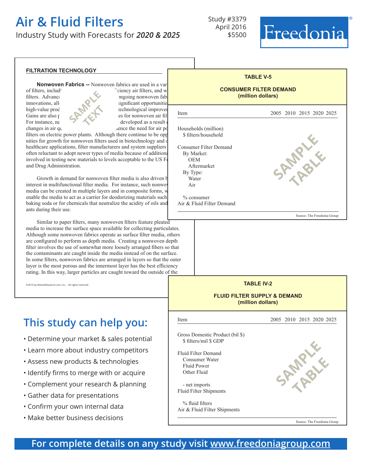## **Air & Fluid Filters**

Industry Study with Forecasts for *2020 & 2025*

Study #3379 April 2016 \$5500

## Freedonia

#### **filtration technology Nonwoven Fabrics --** Nonwoven fabrics are used in a vari of filters, includ<sup>ing H</sup>  $\alpha$ <sup>2</sup> filters, and water filters, and water filters, and water filters, and water filters, and water filters, and water filters, and water filters, and water filters, and water filters, and wate filters. Advance by driven in part by ongoing nonwoven fabric by  $\sim$  $\blacksquare$ innovations, allowing filter manufacturers significant opportunities for  $\blacksquare$ high-value product differentiation technological improvements. Item Gains are also powered by  $\bullet$  by  $\bullet$  for nonwoven air filt For instance, new filters will continue to be developed as a result of  $\alpha$ changes in air quality regulations that influence the need for air pollutions that influence the need for air political state of  $\alpha$ filters on electric power plants. Although there continue to be opp nities for growth for nonwoven filters used in biotechnology and o healthcare applications, filter manufacturers and system suppliers often reluctant to adopt newer types of media because of additional involved in testing new materials to levels acceptable to the US  $F_0$ and Drug Administration. Growth in demand for nonwoven filter media is also driven by interest in multifunctional filter media. For instance, such nonwover media can be created in multiple layers and in composite forms, w enable the media to act as a carrier for deodorizing materials such baking soda or for chemicals that neutralize the acidity of oils and ants during their use. Similar to paper filters, many nonwoven filters feature pleated media to increase the surface space available for collecting particulates. Although some nonwoven fabrics operate as surface filter media, others are configured to perform as depth media. Creating a nonwoven depth filter involves the use of somewhat more loosely arranged fibers so that the contaminants are caught inside the media instead of on the surface. In some filters, nonwoven fabrics are arranged in layers so that the outer layer is the most porous and the innermost layer has the best efficiency rating. In this way, larger particles are caught toward the outside of the ©2016 by MarketResearch.com, Inc. – All rights reserved **SAMPLE text TABLE V-5 CONSUMER FILTER DEMAND (million dollars)** í 2005 2010 2015 2020 2025 Households (million) \$ filters/household 13.3 16.8 19.5 22.4 26.2 Consumer Filter Demand 1519 1990 2425 2945 3600 By Market: OEM 55 59 64 70 76 Aftermarket 1464 1931 2361 2875 3524 By Type: Water 939 1730 2125 1730 2125 1730 2125 1730 2125 1730 2125 1730 2125 1730 2125 1730 2125 1730 2125 1730 2125 Air 580 792 1000 1215 1495 % consumer Air & Fluid Filter Demand Source: The Freedonia Group **TABLE IV-2 FLUID FILTER SUPPLY & DEMAND (million dollars)** i Item 2005 2010 2015 2020 2025 Gross Domestic Product (bil \$) \$ filters/mil \$ GDP Fluid Filter Demand 3560 4070 4900 5890 7040 Consumer Water 939 1198 1425 1730 2105 Fluid Power 530 587 687 687 687 688 699 687 688 699 687 688 687 688 699 691 687 688 691 692 693 687 693 693 69 Other Fluid 2001 2285 2800 3385 2800 3385 2800 3385 2800 3385 2800 3385 2800 3385 2800 3385 2800 3385 2800 3385 2800 3385 2800 3385 2800 3385 2800 3385 2800 3385 2800 3385 2800 3385 2800 3385 2800 3385 2800 3385 2800 3385 - net imports Fluid Filter Shipments 3376 3820 4630 5515 6520 % fluid filters Air & Fluid Filter Shipments Source: The Freedonia Group **This study can help you:** • Determine your market & sales potential • Learn more about industry competitors • Assess new products & technologies • Identify firms to merge with or acquire • Complement your research & planning • Gather data for presentations • Confirm your own internal data • Make better business decisions **SAMPLE table SAMPLE table**

#### **For complete details on any study visit [www.freedoniagroup.com](http://www.marketresearch.com/)**